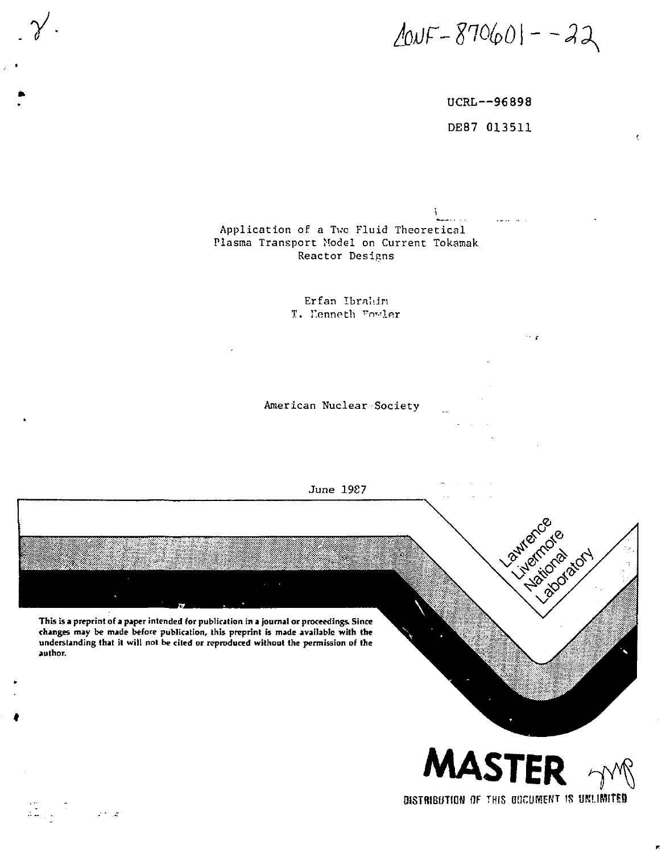$200F - 870601 - -22$ 

UCRL--96898 DE87 013511

. . . . . . . .

 $\sim$   $\epsilon$ 

Application of a Two Fluid Theoretical Plasma Transport Model on Current Tokamak Reactor Designs

> Erfan Ibrahin T. Henneth Fowler

American Nuclear Society



 $\sum_{i=1}^n \frac{1}{i}$  .

್<br>ಪ್ರಾಂತೀಯ

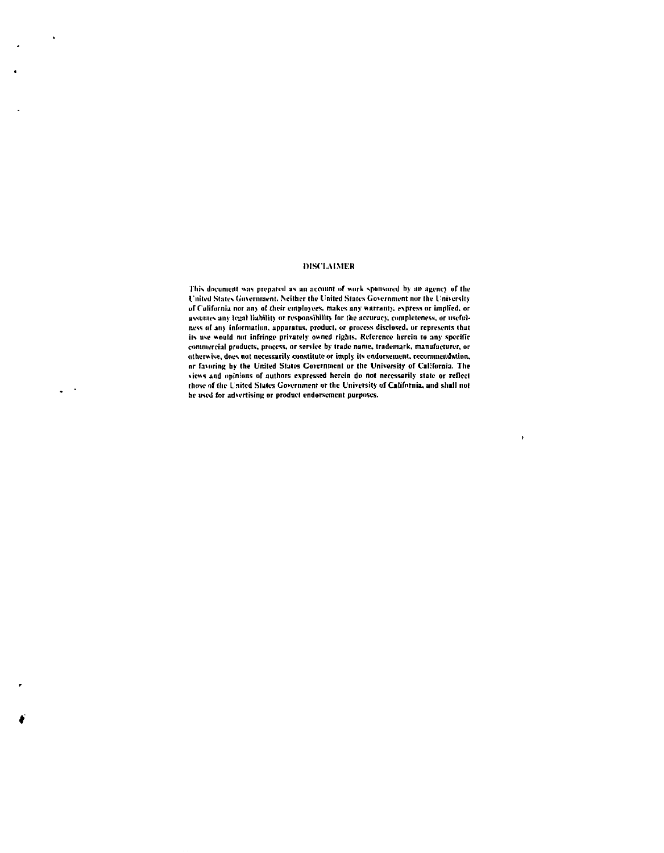## **DISCI.AIMFH**

**This document was prepared as an account of work sponsored by an agcnc) of the I'nited States Government, Neither the I'm ted Slates Government nor the I'niiersity**  of California nor any of their employees, makes any warranty, express or implied, or assumes any legal liability or responsibility for the accuracy, completeness, or useful**ncss of an) information, apparatus, product, or process disclosed, or represents ihut its use would not infringe privately owned rights, Reference herein to any specific commercial products, process, or service by trade name, trademark, manufacturer, or otherwise, docs not necessarily constitute or imply its endorsement, recommendation, or favoring by the United Slales Covcrntnent or the University of California. The views and opinions of authors expressed herein do not necessarily stale or reflect those of the United Slales Government or the University of California, and shall not be used for advertising or product endorsement purposes.** 

**•**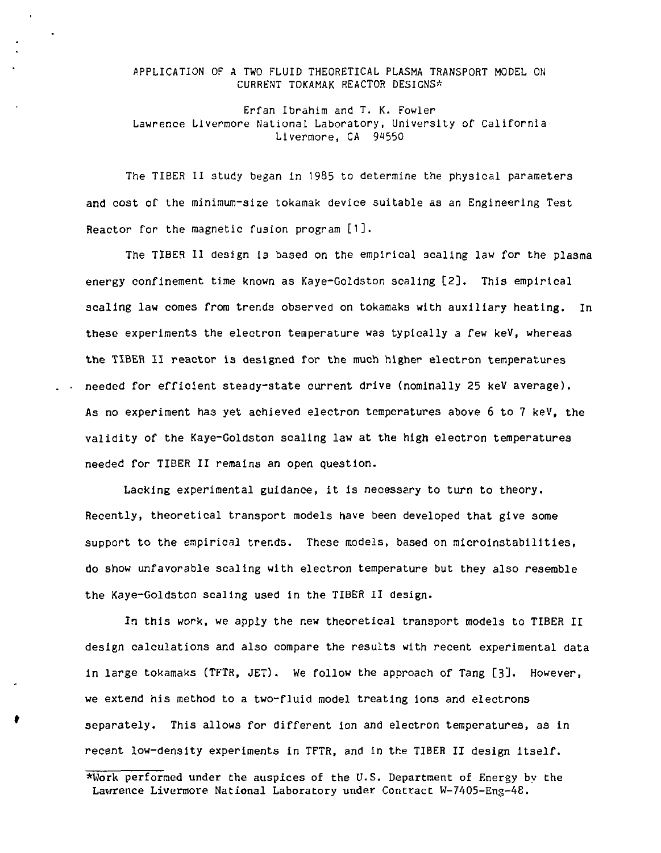APPLICATION OF A TWO FLUID THEORETICAL PLASMA TRANSPORT MODEL ON CURRENT TOKAMAK REACTOR DESIGNS\*

Erfan Ibrahim and T. K. Fowler Lawrence Livermore National Laboratory, University of California Livermore, CA 94550

The TIBER II study began in 1985 to determine the physical parameters and cost of the minimum-size tokamak device suitable as an Engineering Test Reactor for the magnetic fusion program [1].

The TIBER II design Is based on the empirical scaling law for the plasma energy confinement time known as Kaye-Goldston scaling [2], This empirical scaling law comes from trends observed on tokamaks with auxiliary heating. In these experiments the electron temperature was typically a few keV, whereas the TIBER II reactor is designed for the much higher electron temperatures . . needed for efficient steady-state current drive (nominally 25 keV average). As no experiment has yet achieved electron temperatures above 6 to 7 keV, the validity of the Kaye-Goldston scaling law at the high electron temperatures needed for TIBER II remains an open question.

Lacking experimental guidance, it is necessary to turn to theory. Recently, theoretical transport models have been developed that give some support to the empirical trends. These models, based on microinstabillties, do show unfavorable scaling with electron temperature but they also resemble the Kaye-Goldston scaling used In the TIBER II design.

In this work, we apply the new theoretical transport models to TIBER II design calculations and also compare the results with recent experimental data in large tokamaks (TFTR, JET). We follow the approach of Tang [3]. However, we extend his method to a two-fluid model treating ions and electrons separately. This allows for different ion and electron temperatures, as in recent low-density experiments in TFTR, and in the TIBER II design itself.

<sup>\*</sup>Hork performed under the auspices of the U.S. Department of Energy by the Lawrence Livermore National Laboratory under Contract W-7405-Eng-48.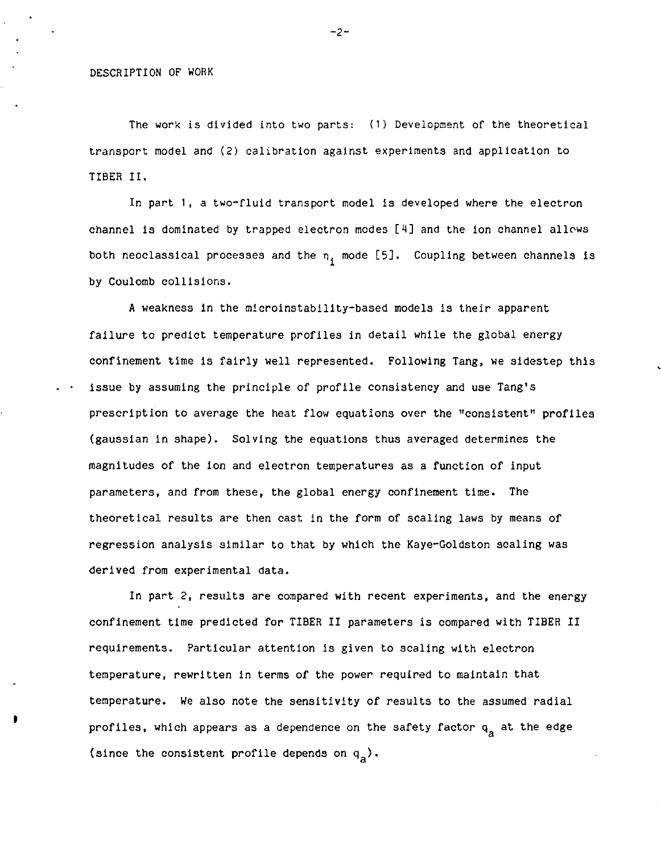The work is divided into two parts: (1) Development of the theoretical transport model and (2) calibration against experiments and application to TIBER II.

In part 1, a two-fluid transport model is developed where the electron channel is dominated by trapped electron modes [4] and the ion channel allows both neoclassical processes and the  $n_i$  mode [5]. Coupling between channels is by Coulomb collisions.

A weakness in the microinstability-based models is their apparent failure to predict temperature profiles in detail while the global energy confinement time is fairly well represented. Following Tang, we sidestep this issue by assuming the principle of profile consistency and use Tang's prescription to average the heat flow equations over the "consistent" profiles (gaussian in shape). Solving the equations thus averaged determines the magnitudes of the Ion and electron temperatures as a function of input parameters, and from these, the global energy confinement time. The theoretical results are then cast in the form of scaling laws by means of regression analysis similar to that by which the Kaye-Goldston scaling was derived from experimental data.

In part 2, results are compared with recent experiments, and the energy confinement time predicted for TIBER II parameters is compared with TIBER II requirements. Particular attention Is given to scaling with electron temperature, rewritten in terms of the power required to maintain that temperature. We also note the sensitivity of results to the assumed radial profiles, which appears as a dependence on the safety factor  $q_a$  at the edge (since the consistent profile depends on  $q_a$ ).

-2-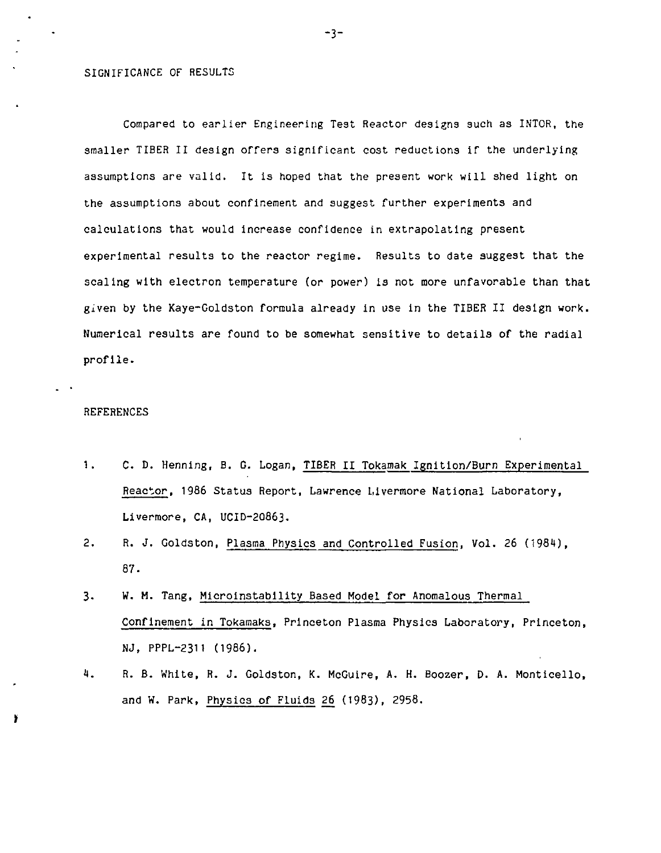## SIGNIFICANCE OF RESULTS

J.

Compared to earlier Engineering Test Reactor designs such as IN'TOR, the smaller TIBER II design offers significant cost reductions if the underlying assumptions are valid. It Is hoped that the present work will shed light on the assumptions about confinement and suggest further experiments and calculations that would Increase confidence in extrapolating present experimental results to the reactor regime. Results to date suggest that the scaling with electron temperature (or power) is not more unfavorable than that given by the Kaye-Goldston formula already in use in the TIBER II design work. Numerical results are found to be somewhat sensitive to details of the radial profile.

## REFERENCES

- 1. C. D. Henning, B. G. Logan, TIBER II Tokamak Ignition/Burn Experimental Reactor, 1986 Status Report, Lawrence Livermore National Laboratory, Livermore, CA, UCID-20863.
- 2. R. J. Goldston, Plasma Physics and Controlled Fusion, Vol. 26 (1984), 87.
- 3. W. H. Tang, Mlcrolnstability Based Model for Anomalous Thermal Confinement in Tokamaks, Princeton Plasma Physics Laboratory, Princeton, NJ, PPPL-2311 (1986).
- 4. R. B. White, R. J. Goldston, K. McGuire, A. H. Boozer, D. A. Monticello, and W. Park, Physics of Fluids 26 (1983), 2958.

-3-